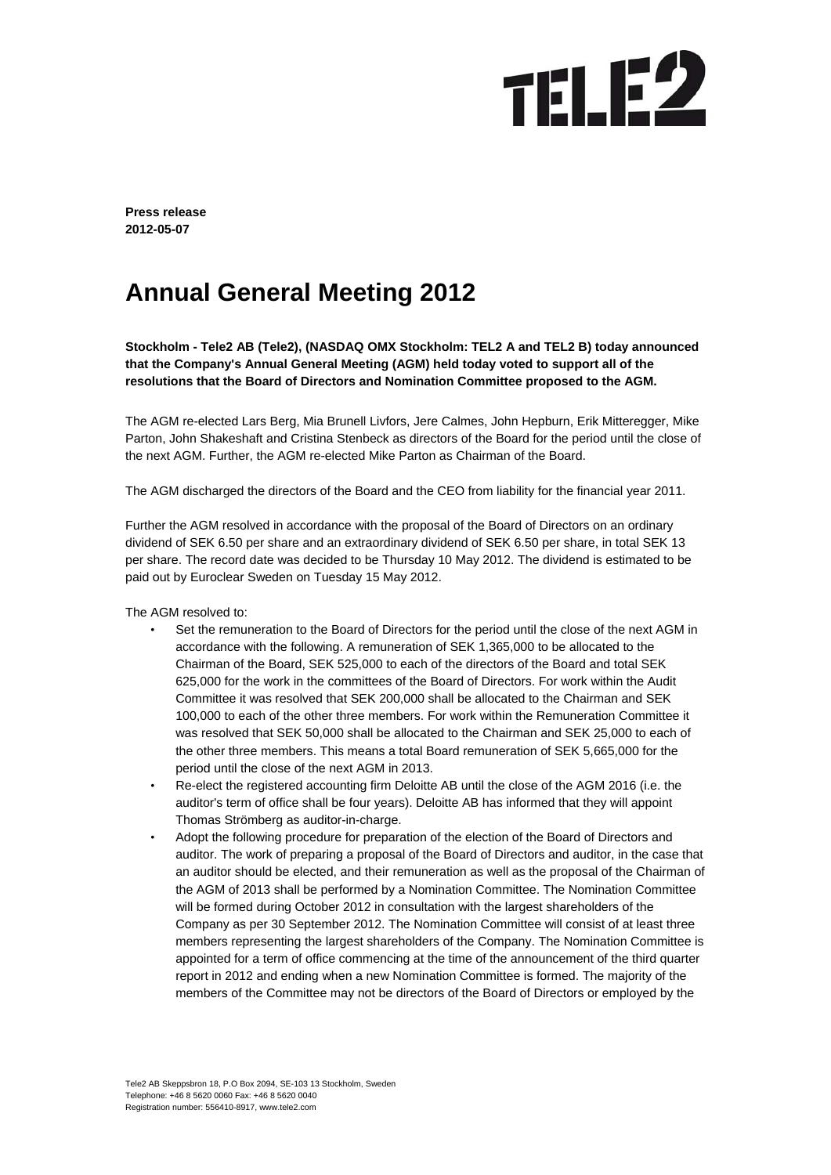# **TELE2**

**Press release 2012-05-07** 

### **Annual General Meeting 2012**

**Stockholm - Tele2 AB (Tele2), (NASDAQ OMX Stockholm: TEL2 A and TEL2 B) today announced that the Company's Annual General Meeting (AGM) held today voted to support all of the resolutions that the Board of Directors and Nomination Committee proposed to the AGM.** 

The AGM re-elected Lars Berg, Mia Brunell Livfors, Jere Calmes, John Hepburn, Erik Mitteregger, Mike Parton, John Shakeshaft and Cristina Stenbeck as directors of the Board for the period until the close of the next AGM. Further, the AGM re-elected Mike Parton as Chairman of the Board.

The AGM discharged the directors of the Board and the CEO from liability for the financial year 2011.

Further the AGM resolved in accordance with the proposal of the Board of Directors on an ordinary dividend of SEK 6.50 per share and an extraordinary dividend of SEK 6.50 per share, in total SEK 13 per share. The record date was decided to be Thursday 10 May 2012. The dividend is estimated to be paid out by Euroclear Sweden on Tuesday 15 May 2012.

The AGM resolved to:

- Set the remuneration to the Board of Directors for the period until the close of the next AGM in accordance with the following. A remuneration of SEK 1,365,000 to be allocated to the Chairman of the Board, SEK 525,000 to each of the directors of the Board and total SEK 625,000 for the work in the committees of the Board of Directors. For work within the Audit Committee it was resolved that SEK 200,000 shall be allocated to the Chairman and SEK 100,000 to each of the other three members. For work within the Remuneration Committee it was resolved that SEK 50,000 shall be allocated to the Chairman and SEK 25,000 to each of the other three members. This means a total Board remuneration of SEK 5,665,000 for the period until the close of the next AGM in 2013.
- Re-elect the registered accounting firm Deloitte AB until the close of the AGM 2016 (i.e. the auditor's term of office shall be four years). Deloitte AB has informed that they will appoint Thomas Strömberg as auditor-in-charge.
- Adopt the following procedure for preparation of the election of the Board of Directors and auditor. The work of preparing a proposal of the Board of Directors and auditor, in the case that an auditor should be elected, and their remuneration as well as the proposal of the Chairman of the AGM of 2013 shall be performed by a Nomination Committee. The Nomination Committee will be formed during October 2012 in consultation with the largest shareholders of the Company as per 30 September 2012. The Nomination Committee will consist of at least three members representing the largest shareholders of the Company. The Nomination Committee is appointed for a term of office commencing at the time of the announcement of the third quarter report in 2012 and ending when a new Nomination Committee is formed. The majority of the members of the Committee may not be directors of the Board of Directors or employed by the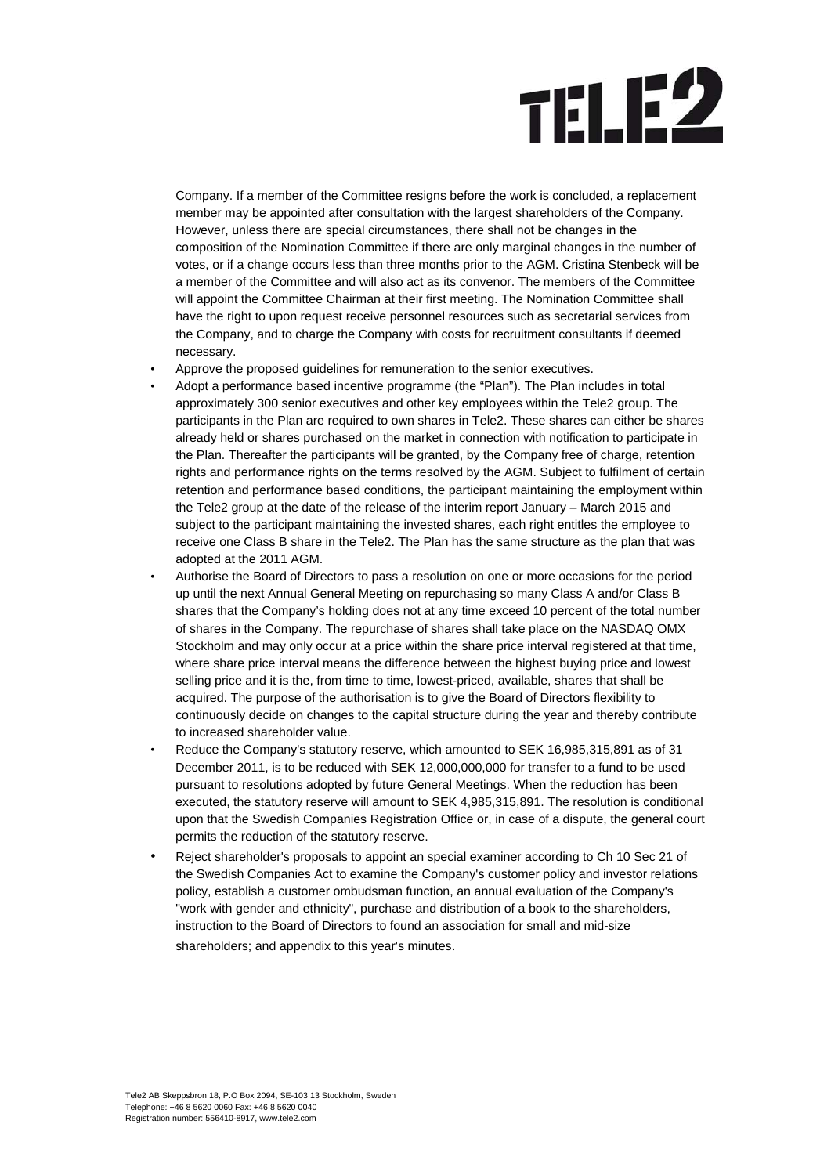## **TELE2**

Company. If a member of the Committee resigns before the work is concluded, a replacement member may be appointed after consultation with the largest shareholders of the Company. However, unless there are special circumstances, there shall not be changes in the composition of the Nomination Committee if there are only marginal changes in the number of votes, or if a change occurs less than three months prior to the AGM. Cristina Stenbeck will be a member of the Committee and will also act as its convenor. The members of the Committee will appoint the Committee Chairman at their first meeting. The Nomination Committee shall have the right to upon request receive personnel resources such as secretarial services from the Company, and to charge the Company with costs for recruitment consultants if deemed necessary.

- Approve the proposed guidelines for remuneration to the senior executives.
- Adopt a performance based incentive programme (the "Plan"). The Plan includes in total approximately 300 senior executives and other key employees within the Tele2 group. The participants in the Plan are required to own shares in Tele2. These shares can either be shares already held or shares purchased on the market in connection with notification to participate in the Plan. Thereafter the participants will be granted, by the Company free of charge, retention rights and performance rights on the terms resolved by the AGM. Subject to fulfilment of certain retention and performance based conditions, the participant maintaining the employment within the Tele2 group at the date of the release of the interim report January – March 2015 and subject to the participant maintaining the invested shares, each right entitles the employee to receive one Class B share in the Tele2. The Plan has the same structure as the plan that was adopted at the 2011 AGM.
- Authorise the Board of Directors to pass a resolution on one or more occasions for the period up until the next Annual General Meeting on repurchasing so many Class A and/or Class B shares that the Company's holding does not at any time exceed 10 percent of the total number of shares in the Company. The repurchase of shares shall take place on the NASDAQ OMX Stockholm and may only occur at a price within the share price interval registered at that time, where share price interval means the difference between the highest buying price and lowest selling price and it is the, from time to time, lowest-priced, available, shares that shall be acquired. The purpose of the authorisation is to give the Board of Directors flexibility to continuously decide on changes to the capital structure during the year and thereby contribute to increased shareholder value.
- Reduce the Company's statutory reserve, which amounted to SEK 16,985,315,891 as of 31 December 2011, is to be reduced with SEK 12,000,000,000 for transfer to a fund to be used pursuant to resolutions adopted by future General Meetings. When the reduction has been executed, the statutory reserve will amount to SEK 4,985,315,891. The resolution is conditional upon that the Swedish Companies Registration Office or, in case of a dispute, the general court permits the reduction of the statutory reserve.
- Reject shareholder's proposals to appoint an special examiner according to Ch 10 Sec 21 of the Swedish Companies Act to examine the Company's customer policy and investor relations policy, establish a customer ombudsman function, an annual evaluation of the Company's "work with gender and ethnicity", purchase and distribution of a book to the shareholders, instruction to the Board of Directors to found an association for small and mid-size shareholders; and appendix to this year's minutes.